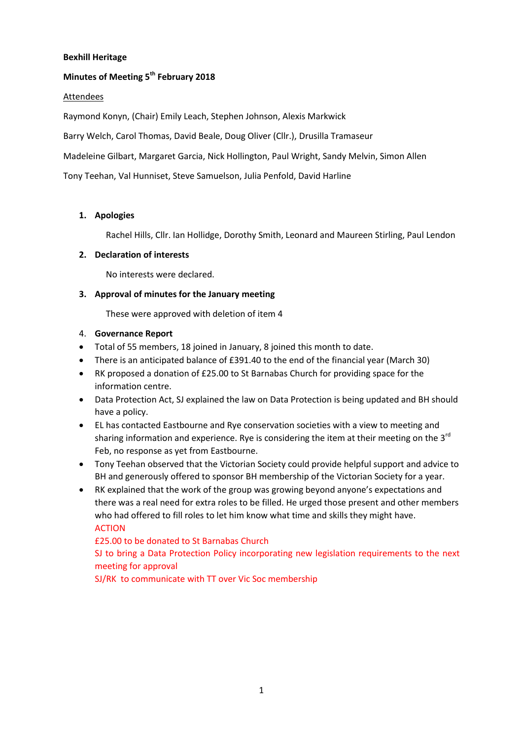### **Bexhill Heritage**

# **Minutes of Meeting 5 th February 2018**

#### Attendees

Raymond Konyn, (Chair) Emily Leach, Stephen Johnson, Alexis Markwick

Barry Welch, Carol Thomas, David Beale, Doug Oliver (Cllr.), Drusilla Tramaseur

Madeleine Gilbart, Margaret Garcia, Nick Hollington, Paul Wright, Sandy Melvin, Simon Allen

Tony Teehan, Val Hunniset, Steve Samuelson, Julia Penfold, David Harline

### **1. Apologies**

Rachel Hills, Cllr. Ian Hollidge, Dorothy Smith, Leonard and Maureen Stirling, Paul Lendon

#### **2. Declaration of interests**

No interests were declared.

### **3. Approval of minutes for the January meeting**

These were approved with deletion of item 4

### 4. **Governance Report**

- Total of 55 members, 18 joined in January, 8 joined this month to date.
- There is an anticipated balance of £391.40 to the end of the financial year (March 30)
- RK proposed a donation of £25.00 to St Barnabas Church for providing space for the information centre.
- Data Protection Act, SJ explained the law on Data Protection is being updated and BH should have a policy.
- EL has contacted Eastbourne and Rye conservation societies with a view to meeting and sharing information and experience. Rye is considering the item at their meeting on the  $3^{rd}$ Feb, no response as yet from Eastbourne.
- Tony Teehan observed that the Victorian Society could provide helpful support and advice to BH and generously offered to sponsor BH membership of the Victorian Society for a year.
- RK explained that the work of the group was growing beyond anyone's expectations and there was a real need for extra roles to be filled. He urged those present and other members who had offered to fill roles to let him know what time and skills they might have. ACTION

£25.00 to be donated to St Barnabas Church

SJ to bring a Data Protection Policy incorporating new legislation requirements to the next meeting for approval

SJ/RK to communicate with TT over Vic Soc membership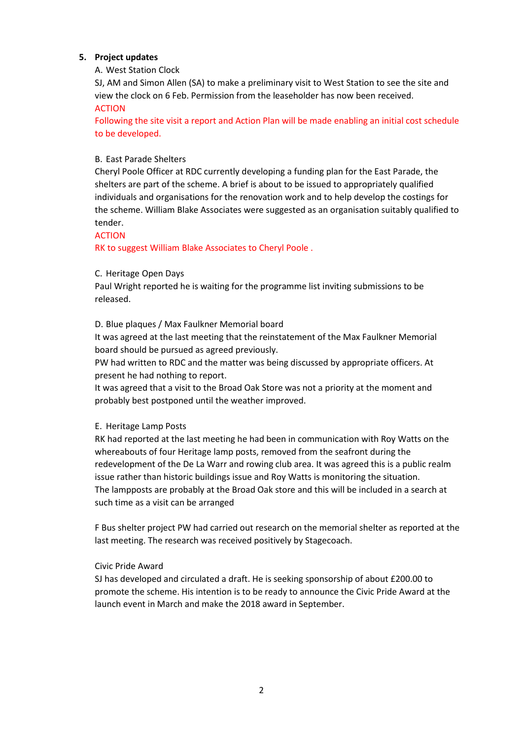## **5. Project updates**

#### A. West Station Clock

SJ, AM and Simon Allen (SA) to make a preliminary visit to West Station to see the site and view the clock on 6 Feb. Permission from the leaseholder has now been received. ACTION

Following the site visit a report and Action Plan will be made enabling an initial cost schedule to be developed.

### B. East Parade Shelters

Cheryl Poole Officer at RDC currently developing a funding plan for the East Parade, the shelters are part of the scheme. A brief is about to be issued to appropriately qualified individuals and organisations for the renovation work and to help develop the costings for the scheme. William Blake Associates were suggested as an organisation suitably qualified to tender.

#### ACTION

RK to suggest William Blake Associates to Cheryl Poole .

### C. Heritage Open Days

Paul Wright reported he is waiting for the programme list inviting submissions to be released.

### D. Blue plaques / Max Faulkner Memorial board

It was agreed at the last meeting that the reinstatement of the Max Faulkner Memorial board should be pursued as agreed previously.

PW had written to RDC and the matter was being discussed by appropriate officers. At present he had nothing to report.

It was agreed that a visit to the Broad Oak Store was not a priority at the moment and probably best postponed until the weather improved.

#### E. Heritage Lamp Posts

RK had reported at the last meeting he had been in communication with Roy Watts on the whereabouts of four Heritage lamp posts, removed from the seafront during the redevelopment of the De La Warr and rowing club area. It was agreed this is a public realm issue rather than historic buildings issue and Roy Watts is monitoring the situation. The lampposts are probably at the Broad Oak store and this will be included in a search at such time as a visit can be arranged

F Bus shelter project PW had carried out research on the memorial shelter as reported at the last meeting. The research was received positively by Stagecoach.

#### Civic Pride Award

SJ has developed and circulated a draft. He is seeking sponsorship of about £200.00 to promote the scheme. His intention is to be ready to announce the Civic Pride Award at the launch event in March and make the 2018 award in September.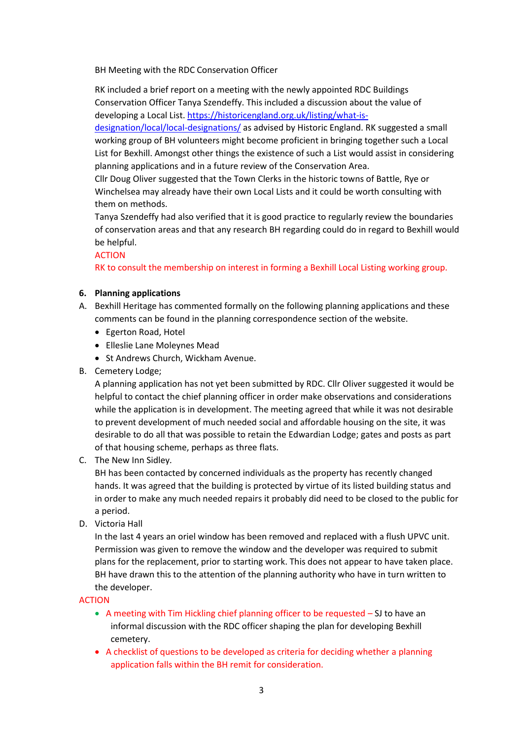BH Meeting with the RDC Conservation Officer

RK included a brief report on a meeting with the newly appointed RDC Buildings Conservation Officer Tanya Szendeffy. This included a discussion about the value of developing a Local List. [https://historicengland.org.uk/listing/what-is-](https://historicengland.org.uk/listing/what-is-designation/local/local-designations/)

[designation/local/local-designations/](https://historicengland.org.uk/listing/what-is-designation/local/local-designations/) as advised by Historic England. RK suggested a small working group of BH volunteers might become proficient in bringing together such a Local List for Bexhill. Amongst other things the existence of such a List would assist in considering planning applications and in a future review of the Conservation Area.

Cllr Doug Oliver suggested that the Town Clerks in the historic towns of Battle, Rye or Winchelsea may already have their own Local Lists and it could be worth consulting with them on methods.

Tanya Szendeffy had also verified that it is good practice to regularly review the boundaries of conservation areas and that any research BH regarding could do in regard to Bexhill would be helpful.

#### **ACTION**

RK to consult the membership on interest in forming a Bexhill Local Listing working group.

### **6. Planning applications**

- A. Bexhill Heritage has commented formally on the following planning applications and these comments can be found in the planning correspondence section of the website.
	- Egerton Road, Hotel
	- Elleslie Lane Moleynes Mead
	- St Andrews Church, Wickham Avenue.
- B. Cemetery Lodge;

A planning application has not yet been submitted by RDC. Cllr Oliver suggested it would be helpful to contact the chief planning officer in order make observations and considerations while the application is in development. The meeting agreed that while it was not desirable to prevent development of much needed social and affordable housing on the site, it was desirable to do all that was possible to retain the Edwardian Lodge; gates and posts as part of that housing scheme, perhaps as three flats.

C. The New Inn Sidley*.*

BH has been contacted by concerned individuals as the property has recently changed hands. It was agreed that the building is protected by virtue of its listed building status and in order to make any much needed repairs it probably did need to be closed to the public for a period.

D. Victoria Hall

In the last 4 years an oriel window has been removed and replaced with a flush UPVC unit. Permission was given to remove the window and the developer was required to submit plans for the replacement, prior to starting work. This does not appear to have taken place. BH have drawn this to the attention of the planning authority who have in turn written to the developer.

#### ACTION

- A meeting with Tim Hickling chief planning officer to be requested SJ to have an informal discussion with the RDC officer shaping the plan for developing Bexhill cemetery.
- A checklist of questions to be developed as criteria for deciding whether a planning application falls within the BH remit for consideration.